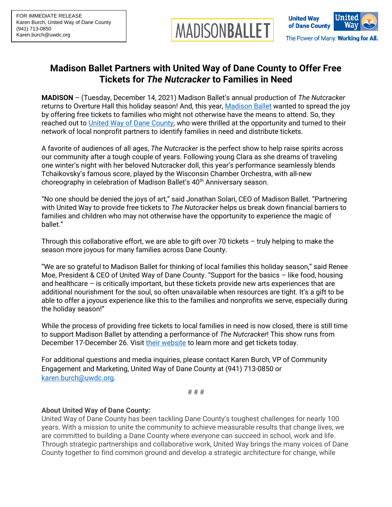



## **Madison Ballet Partners with United Way of Dane County to Offer Free Tickets for** *The Nutcracker* **to Families in Need**

**MADISON** – (Tuesday, December 14, 2021) Madison Ballet's annual production of *The Nutcracker* returns to Overture Hall this holiday season! And, this year, [Madison Ballet](https://www.madisonballet.org/) wanted to spread the joy by offering free tickets to families who might not otherwise have the means to attend. So, they reached out to [United Way of Dane County,](http://www.unitedwaydanecounty.org/) who were thrilled at the opportunity and turned to their network of local nonprofit partners to identify families in need and distribute tickets.

A favorite of audiences of all ages, *The Nutcracker* is the perfect show to help raise spirits across our community after a tough couple of years. Following young Clara as she dreams of traveling one winter's night with her beloved Nutcracker doll, this year's performance seamlessly blends Tchaikovsky's famous score, played by the Wisconsin Chamber Orchestra, with all-new choreography in celebration of Madison Ballet's 40<sup>th</sup> Anniversary season.

"No one should be denied the joys of art," said Jonathan Solari, CEO of Madison Ballet. "Partnering with United Way to provide free tickets to *The Nutcracker* helps us break down financial barriers to families and children who may not otherwise have the opportunity to experience the magic of ballet."

Through this collaborative effort, we are able to gift over 70 tickets – truly helping to make the season more joyous for many families across Dane County.

"We are so grateful to Madison Ballet for thinking of local families this holiday season," said Renee Moe, President & CEO of United Way of Dane County. "Support for the basics – like food, housing and healthcare – is critically important, but these tickets provide new arts experiences that are additional nourishment for the soul, so often unavailable when resources are tight. It's a gift to be able to offer a joyous experience like this to the families and nonprofits we serve, especially during the holiday season!"

While the process of providing free tickets to local families in need is now closed, there is still time to support Madison Ballet by attending a performance of *The Nutcracker*! This show runs from December 17-December 26. Visit [their website](http://www.madisonballet.org/nutcracker) to learn more and get tickets today.

For additional questions and media inquiries, please contact Karen Burch, VP of Community Engagement and Marketing, United Way of Dane County at (941) 713-0850 or [karen.burch@uwdc.org.](mailto:karen.burch@uwdc.org)

# # #

## **About United Way of Dane County:**

United Way of Dane County has been tackling Dane County's toughest challenges for nearly 100 years. With a mission to unite the community to achieve measurable results that change lives, we are committed to building a Dane County where everyone can succeed in school, work and life. Through strategic partnerships and collaborative work, United Way brings the many voices of Dane County together to find common ground and develop a strategic architecture for change, while